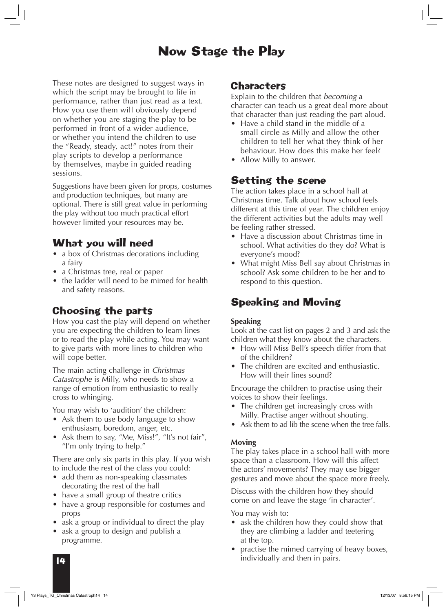# Now Stage the Play

These notes are designed to suggest ways in which the script may be brought to life in performance, rather than just read as a text. How you use them will obviously depend on whether you are staging the play to be performed in front of a wider audience, or whether you intend the children to use the "Ready, steady, act!" notes from their play scripts to develop a performance by themselves, maybe in guided reading sessions.

Suggestions have been given for props, costumes and production techniques, but many are optional. There is still great value in performing the play without too much practical effort however limited your resources may be.

### What you will need

- a box of Christmas decorations including a fairy
- a Christmas tree, real or paper
- the ladder will need to be mimed for health and safety reasons.

## Choosing the parts

How you cast the play will depend on whether you are expecting the children to learn lines or to read the play while acting. You may want to give parts with more lines to children who will cope better.

The main acting challenge in *Christmas Catastrophe* is Milly, who needs to show a range of emotion from enthusiastic to really cross to whinging.

You may wish to 'audition' the children:

- Ask them to use body language to show enthusiasm, boredom, anger, etc.
- Ask them to say, "Me, Miss!", "It's not fair", "I'm only trying to help."

There are only six parts in this play. If you wish to include the rest of the class you could:

- add them as non-speaking classmates decorating the rest of the hall
- have a small group of theatre critics
- have a group responsible for costumes and props
- ask a group or individual to direct the play
- ask a group to design and publish a programme.

#### **Characters**

Explain to the children that *becoming* a character can teach us a great deal more about that character than just reading the part aloud.

- Have a child stand in the middle of a small circle as Milly and allow the other children to tell her what they think of her behaviour. How does this make her feel?
- Allow Milly to answer.

### Setting the scene

The action takes place in a school hall at Christmas time. Talk about how school feels different at this time of year. The children enjoy the different activities but the adults may well be feeling rather stressed.

- Have a discussion about Christmas time in school. What activities do they do? What is everyone's mood?
- What might Miss Bell say about Christmas in school? Ask some children to be her and to respond to this question.

## Speaking and Moving

#### **Speaking**

Look at the cast list on pages 2 and 3 and ask the children what they know about the characters.

- How will Miss Bell's speech differ from that of the children?
- The children are excited and enthusiastic. How will their lines sound?

Encourage the children to practise using their voices to show their feelings.

- The children get increasingly cross with Milly. Practise anger without shouting.
- Ask them to ad lib the scene when the tree falls.

#### **Moving**

The play takes place in a school hall with more space than a classroom. How will this affect the actors' movements? They may use bigger gestures and move about the space more freely.

Discuss with the children how they should come on and leave the stage 'in character'.

You may wish to:

- ask the children how they could show that they are climbing a ladder and teetering at the top.
- practise the mimed carrying of heavy boxes, individually and then in pairs.